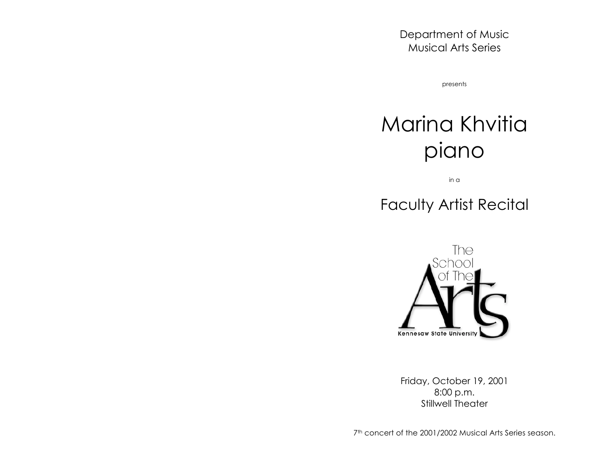Department of Music Musical Arts Series

presents

# Marina Khvitia piano

in a

# Faculty Artist Recital



Friday, October 19, 2001 8:00 p.m. Stillwell Theater

7<sup>th</sup> concert of the 2001/2002 Musical Arts Series season.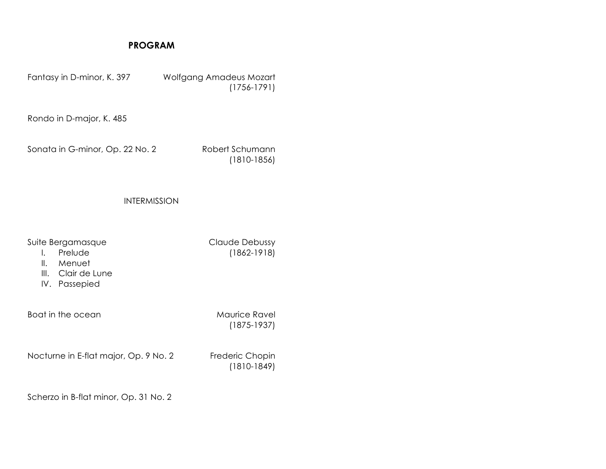# **PROGRAM**

Fantasy in D-minor, K. 397 Wolfgang Amadeus Mozart (1756-1791) Rondo in D-major, K. 485 Sonata in G-minor, Op. 22 No. 2 Robert Schumann (1810-1856) INTERMISSION Suite Bergamasque **Claude Debussy** I. Prelude (1862-1918) II. Menuet III. Clair de Lune IV. Passepied Boat in the ocean **Maurice Ravel** (1875-1937) Nocturne in E-flat major, Op. 9 No. 2 Frederic Chopin (1810-1849) Scherzo in B-flat minor, Op. 31 No. 2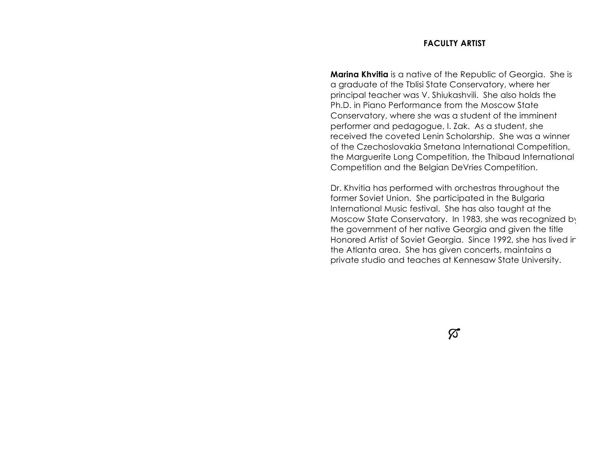### **FACULTY ARTIST**

**Marina Khvitia** is a native of the Republic of Georgia. She is a graduate of the Tblisi State Conservatory, where her principal teacher was V. Shiukashvili. She also holds the Ph.D. in Piano Performance from the Moscow State Conservatory, where she was a student of the imminent performer and pedagogue, I. Zak. As a student, she received the coveted Lenin Scholarship. She was a winner of the Czechoslovakia Smetana International Competition, the Marguerite Long Competition, the Thibaud International Competition and the Belgian DeVries Competition.

Dr. Khvitia has performed with orchestras throughout the former Soviet Union. She participated in the Bulgaria International Music festival. She has also taught at the Moscow State Conservatory. In 1983, she was recognized by the government of her native Georgia and given the title Honored Artist of Soviet Georgia. Since 1992, she has lived in the Atlanta area. She has given concerts, maintains a private studio and teaches at Kennesaw State University.

 $\varnothing$